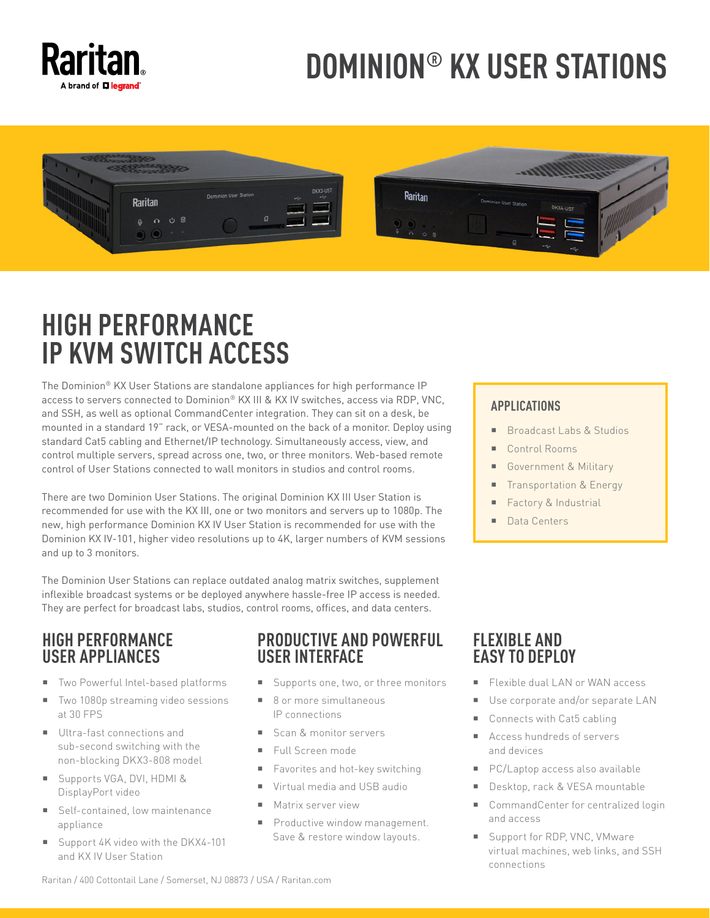

# **DOMINION® KX USER STATIONS**



# **HIGH PERFORMANCE IP KVM SWITCH ACCESS**

The Dominion® KX User Stations are standalone appliances for high performance IP access to servers connected to Dominion® KX III & KX IV switches, access via RDP, VNC, and SSH, as well as optional CommandCenter integration. They can sit on a desk, be mounted in a standard 19" rack, or VESA-mounted on the back of a monitor. Deploy using standard Cat5 cabling and Ethernet/IP technology. Simultaneously access, view, and control multiple servers, spread across one, two, or three monitors. Web-based remote control of User Stations connected to wall monitors in studios and control rooms.

There are two Dominion User Stations. The original Dominion KX III User Station is recommended for use with the KX III, one or two monitors and servers up to 1080p. The new, high performance Dominion KX IV User Station is recommended for use with the Dominion KX IV-101, higher video resolutions up to 4K, larger numbers of KVM sessions and up to 3 monitors.

The Dominion User Stations can replace outdated analog matrix switches, supplement inflexible broadcast systems or be deployed anywhere hassle-free IP access is needed. They are perfect for broadcast labs, studios, control rooms, offices, and data centers.

## **HIGH PERFORMANCE USER APPLIANCES**

- Two Powerful Intel-based platforms
- Two 1080p streaming video sessions at 30 FPS
- Ultra-fast connections and sub-second switching with the non-blocking DKX3-808 model
- Supports VGA, DVI, HDMI & DisplayPort video
- Self-contained, low maintenance appliance
- Support 4K video with the DKX4-101 and KX IV User Station

### **PRODUCTIVE AND POWERFUL USER INTERFACE**

- Supports one, two, or three monitors
- 8 or more simultaneous IP connections
- Scan & monitor servers
- Full Screen mode
- Favorites and hot-key switching
- **Virtual media and USB audio**
- **Matrix server view**
- Productive window management. Save & restore window layouts.

#### **APPLICATIONS**

- Broadcast Labs & Studios
- Control Rooms
- Government & Military
- Transportation & Energy
- Factory & Industrial
- Data Centers

# **FLEXIBLE AND EASY TO DEPLOY**

- Flexible dual LAN or WAN access
- Use corporate and/or separate LAN
- Connects with Cat5 cabling
- Access hundreds of servers and devices
- **PC/Laptop access also available**
- Desktop, rack & VESA mountable
- CommandCenter for centralized login and access
- Support for RDP, VNC, VMware virtual machines, web links, and SSH connections

Raritan / 400 Cottontail Lane / Somerset, NJ 08873 / USA / Raritan.com